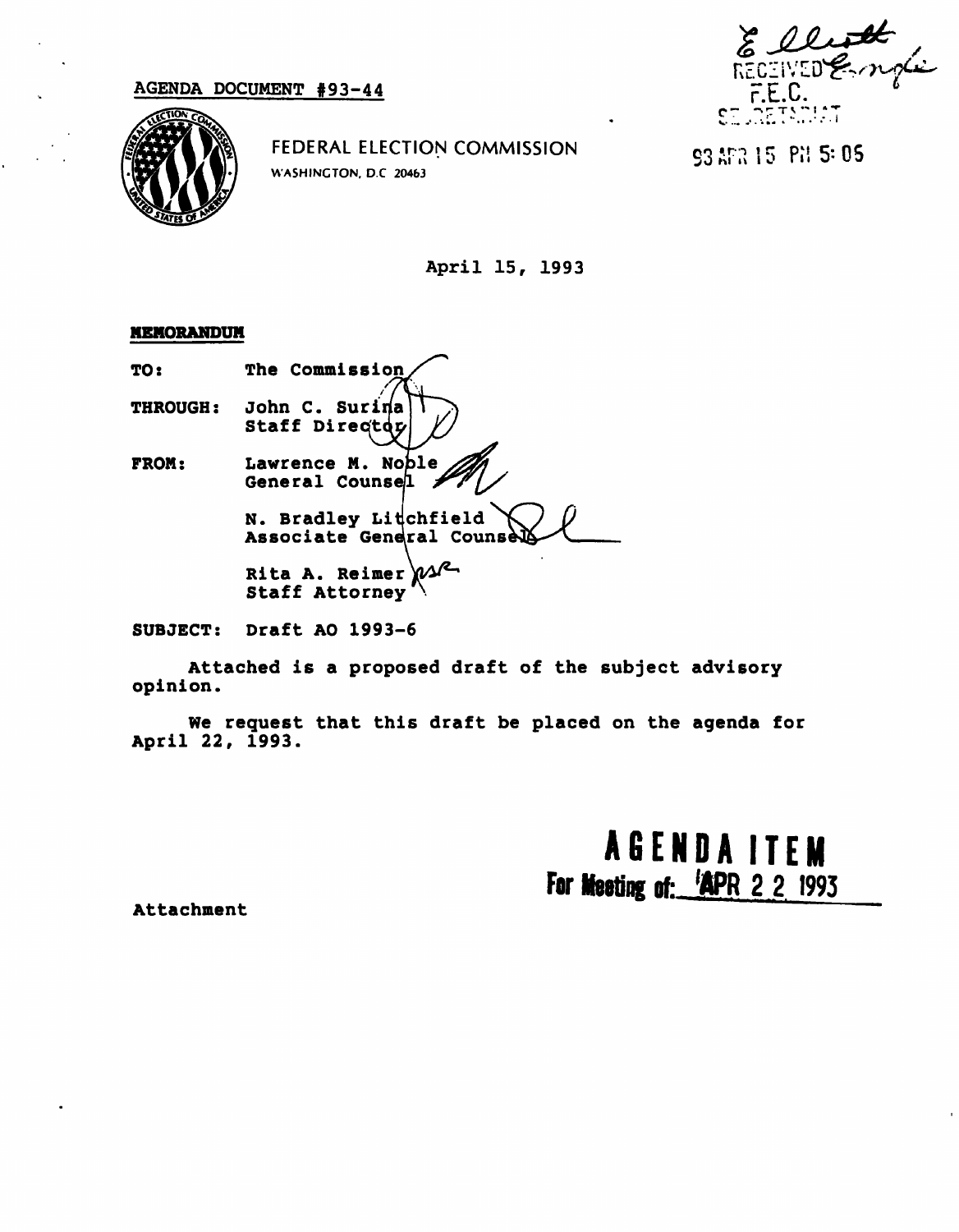

FEDERAL ELECTION COMMISSION WASHINGTON. D.C 20463

 $93$   $15$  Pil 5: 05

April 15, 1993

## MEMORANDUM

TO: The Commission THROUGH: John C. Surina Staff Directoy FROM: Lawrence M. Nople General Couns N. Bradley Litchfield Associate General Counse Rita A. Reimer  $\mathcal{W}$ Staff Attorney

SUBJECT: Draft AO 1993-6

Attached is a proposed draft of the subject advisory opinion.

We request that this draft be placed on the agenda for April 22, 1993.

> AGEND A ITEM For Meeting of: 'APR 2 2 1993

Attachment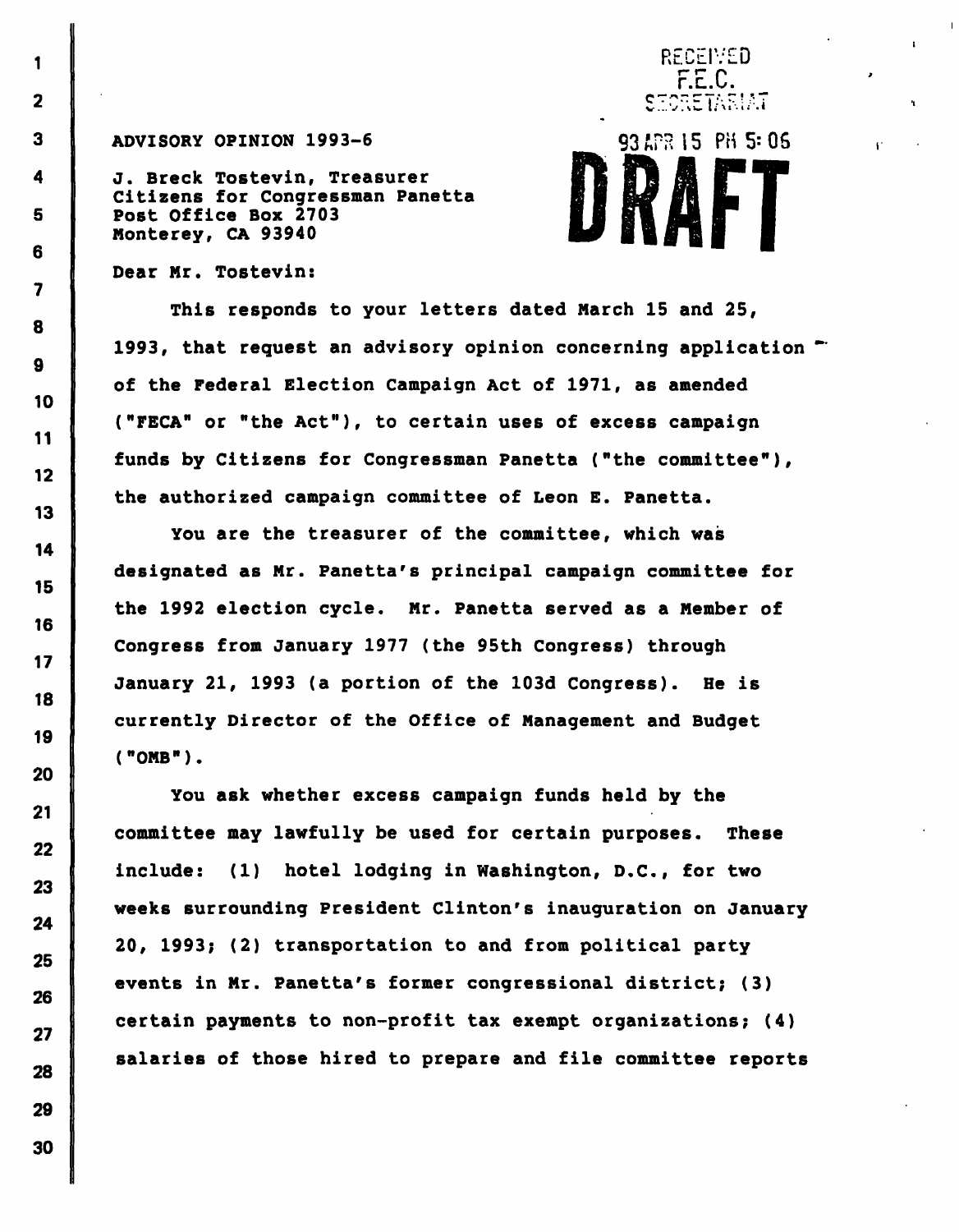### ADVISORY OPINION 1993-6  $93 APR 15 PH 5: 06$

J. Breck Tostevin, Treasurer Citizens for Congressman Panetta Post Office Box 2703 Monterey, CA 93940

# F.E.C. SECRETARIAT

RECEIVED

 $\mathbf{r}^{\star}$ 

Dear Mr. Tostevin:

1

 $\overline{\mathbf{2}}$ 

 $\overline{\mathbf{3}}$ 

4

5

6

7

8

9

10

11

 $12$ 

 $13$ 

14

15

16

 $17$ 

18

19

20

 $21$ 

 $22$ 

23

24

25

26

27

28

29

30

This responds to your letters dated March 15 and 25, 1993, that request an advisory opinion concerning application "" of the Federal Election Campaign Act of 1971, as amended ("FECA" or "the Act"), to certain uses of excess campaign funds by Citizens for Congressman Panetta ("the committee"), the authorized campaign committee of Leon E. Panetta.

You are the treasurer of the committee, which was designated as Mr. Panetta's principal campaign committee for the 1992 election cycle. Mr. Panetta served as a Member of Congress from January 1977 (the 95th Congress) through January 21, 1993 (a portion of the 103d Congress). He is currently Director of the Office of Management and Budget ("OMB").

You ask whether excess campaign funds held by the committee may lawfully be used for certain purposes. These include: (1) hotel lodging in Washington, D.C., for two weeks surrounding President Clinton's inauguration on January 20, 1993; (2) transportation to and from political party events in Mr. Panetta's former congressional district; (3) certain payments to non-profit tax exempt organizations; (4) salaries of those hired to prepare and file committee reports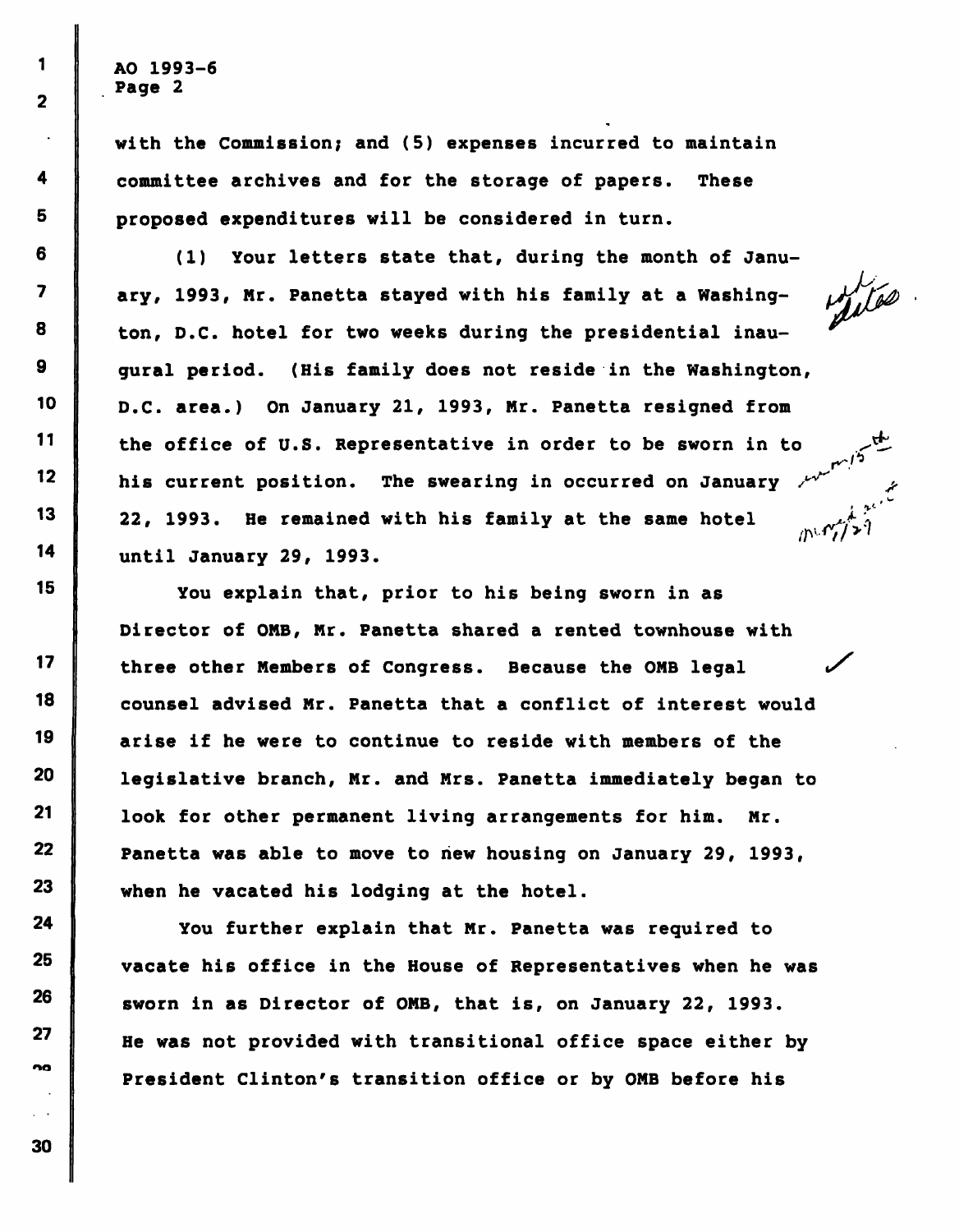AO 1993-6 Page 2

 $\mathbf{1}$ 

 $\overline{2}$ 

4

5

6

 $\overline{\mathbf{z}}$ 

8

9

10

 $11$ 

 $12$ 

 $13$ 

14

15

 $17$ 

18

19

20

 $21$ 

22

23

24

25

26

27

na

with the Commission; and (5) expenses incurred to maintain committee archives and for the storage of papers. These proposed expenditures will be considered in turn.

(1) Your letters state that, during the month of January, 1993, Mr. Panetta stayed with his family at a Washing-  $\frac{1}{100}$ ton, D.C. hotel for two weeks during the presidential inaugural period. (His family does not reside in the Washington, D.C. area.) On January 21, 1993, Mr. Panetta resigned from the office of U.S. Representative in order to be sworn in to his current position. The swearing in occurred on January 22, 1993. He remained with his family at the same hotel until January 29, 1993.

You explain that, prior to his being sworn in as Director of OMB, Mr. Panetta shared a rented townhouse with three other Members of Congress. Because the OMB legal counsel advised Mr. Panetta that a conflict of interest would arise if he were to continue to reside with members of the legislative branch, Mr. and Mrs. Panetta immediately began to look for other permanent living arrangements for him. Mr. Panetta was able to move to hew housing on January 29, 1993, when he vacated his lodging at the hotel.

You further explain that Mr. Panetta was required to vacate his office in the House of Representatives when he was sworn in as Director of OMB, that is, on January 22, 1993. He was not provided with transitional office space either by President Clinton's transition office or by OMB before his

 $\sim$   $\sim$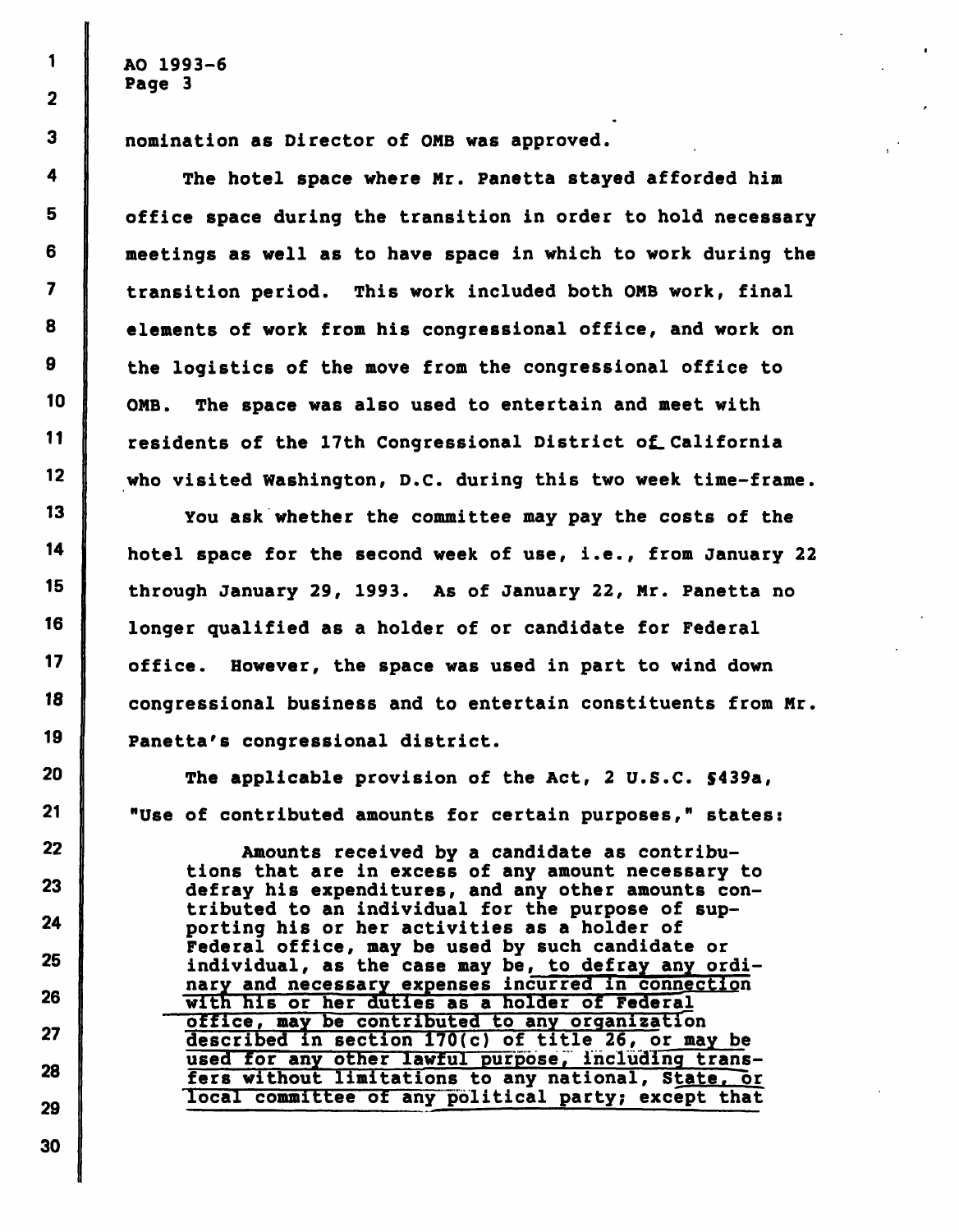AO 1993-6 Page 3

nomination as Director of OMB was approved.

The hotel space where Mr. Panetta stayed afforded him office space during the transition in order to hold necessary meetings as well as to have space in which to work during the transition period. This work included both OMB work, final elements of work from his congressional office, and work on the logistics of the move from the congressional office to OMB. The space was also used to entertain and meet with residents of the 17th Congressional District of\_ California who visited Washington, D.C. during this two week time-frame.

You ask whether the committee may pay the costs of the hotel space for the second week of use, i.e., from January 22 through January 29, 1993. As of January 22, Mr. Panetta no longer qualified as a holder of or candidate for Federal office. However, the space was used in part to wind down congressional business and to entertain constituents from Mr. Panetta's congressional district.

The applicable provision of the Act, 2 U.S.C. \$439a, "Use of contributed amounts for certain purposes," states:

Amounts received by a candidate as contributions that are in excess of any amount necessary to defray his expenditures, and any other amounts contributed to an individual for the purpose of supporting his or her activities as a holder of Federal office, may be used by such candidate or individual, as the case may be, to defray any ordinary and necessary expenses incurred in connection with his or her duties as a holder of Federal office, may be contributed to any organization described in section 170(c) of title 26, or may be used for any other lawful purpose, including transfers without limitations to any national, State, or local committee of any'political party; except that

29

30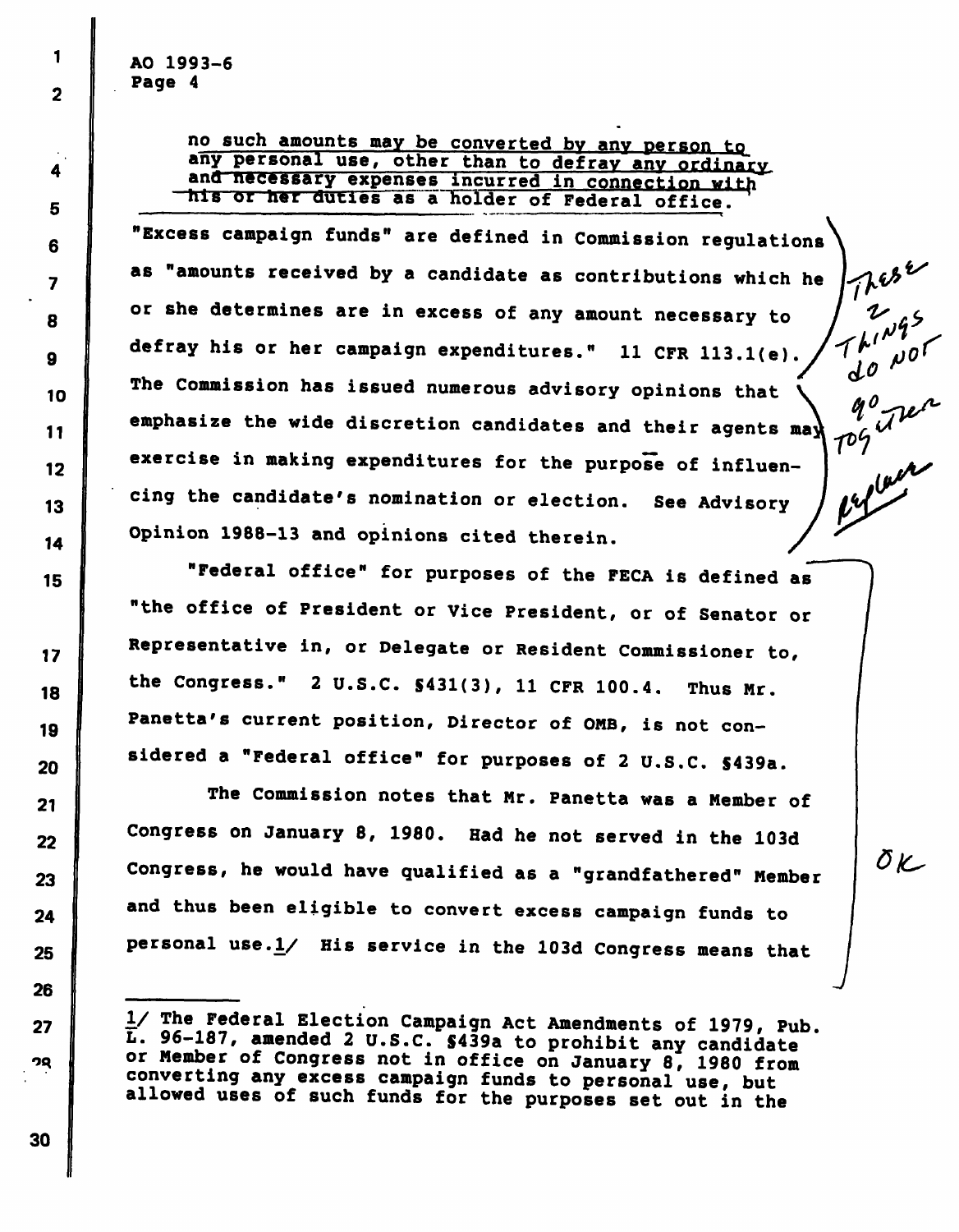$1 \parallel$  AO 1993-6 || Page 4<br>|

2

 $\boldsymbol{4}$ 

 $10$ 

 $\boldsymbol{9}$ 

13

21

# no such amounts may be converted by any person to any personal use, other than to defray any ordinary and necessary expenses incurred in connection with 5 his or her duties as a holder of Federal office. <sup>5</sup> ' v

 $\begin{array}{c} \text{A} \end{array}$  "Excess campaign funds" are defined in Commission regulations  $\setminus$ **as "amounts received by a candidate as contributions which he**  $\int \mathcal{U}$  $\overline{8}$  or she determines are in excess of any amount necessary to defray his or her campaign expenditures." 11 CFR 113.1(e). .... . / d O r The Commission has issued numerous advisory opinions that  $\tilde{V}$  $\int_{1}^{q^0}$  dec **11** emphasize the wide discretion candidates and their agents may  $12$  exercise in making expenditures for the purpose of influencing the candidate's nomination or election. See Advisor 14 Opinion 1988-13 and opinions cited therein.

<sup>15</sup> "Federal office" for purposes of the FECA is defined as "the office of President or Vice President, or of Senator or 17 Representative in, or Delegate or Resident Commissioner to, 18 the Congress." 2 U.S.C.  $\texttt{S431(3)}$ , 11 CFR 100.4. Thus Mr. 19 Panetta's current position, Director of OMB, is not con-20 sidered a "Federal office" for purposes of 2 U.S.C. \$439a.

 The Commission notes that Mr. Panetta was a Member of 22 Congress on January 8, 1980. Had he not served in the 103d 23 Congress, he would have qualified as a "grandfathered" Member  $24$  and thus been eligible to convert excess campaign funds to 25 **Personal use.** $\frac{1}{4}$  His service in the 103d Congress means that

OK

30

<sup>27 | 1/</sup> The Federal Election Campaign Act Amendments of 1979, Pub. L. 96-187, amended 2 U.S.C. S439a to prohibit any candidate oq I or Member of Congress not in office on January 8, 1980 from converting any excess campaign funds to personal use, but allowed uses of such funds for the purposes set out in the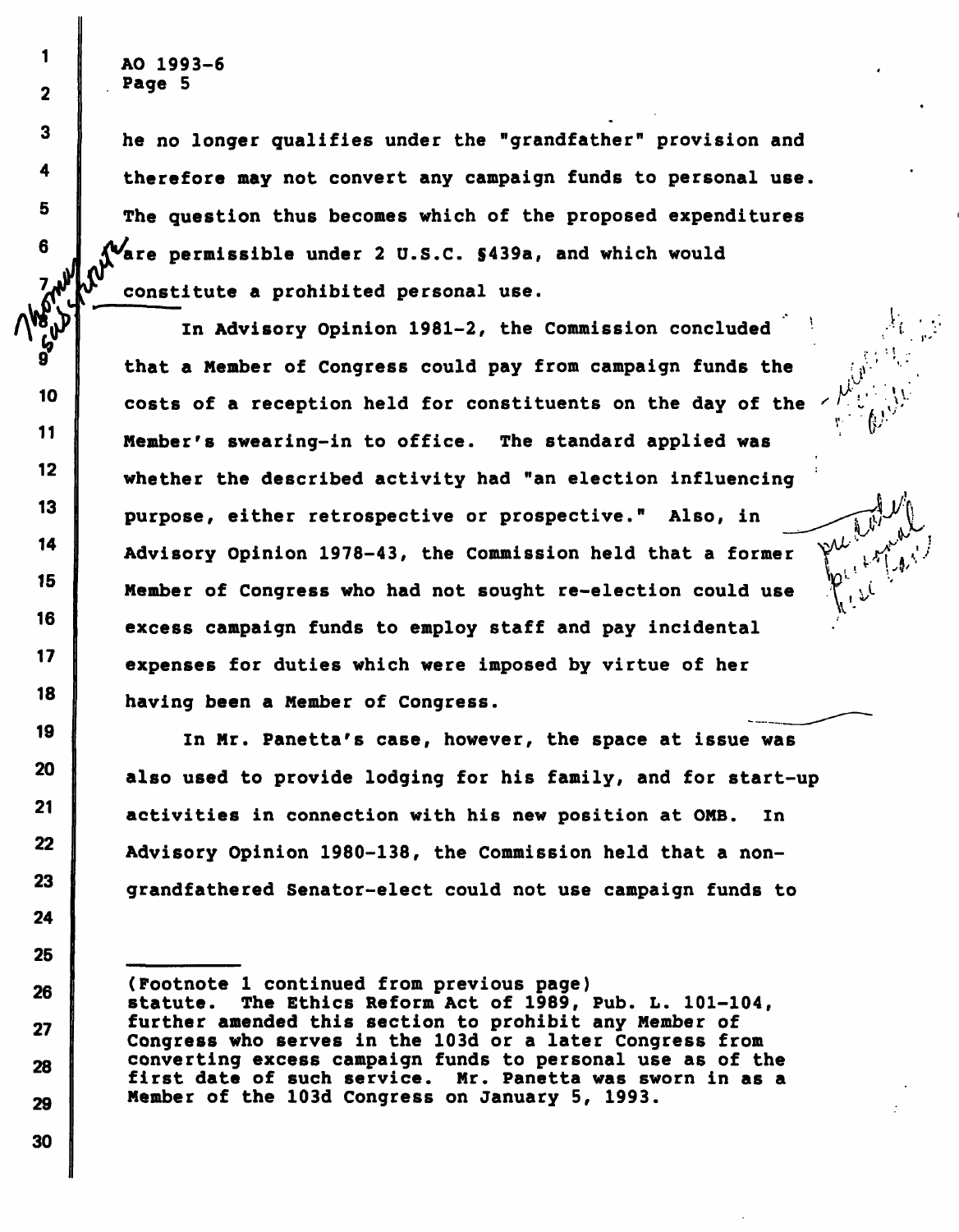AO 1993-6 Page 5

 $\frac{v}{c}$ 

1

 $\overline{\mathbf{2}}$ 

 $\mathbf{3}$ 

4

5

6

Visible

**PASS** 

10

 $11$ 

 $12<sub>2</sub>$ 

 $13$ 

14

15

16

 $17$ 

18

19

20

 $21$ 

22

23

24

25

26

27

28

he no longer qualifies under the "grandfather" provision and therefore may not convert any campaign funds to personal use. The question thus becomes which of the proposed expenditures are permissible under 2 U.S.C. \$439a, and which would constitute a prohibited personal use.  $^{11}$   $^{11}$   $^{11}$   $^{11}$   $^{11}$   $^{11}$   $^{11}$   $^{11}$   $^{11}$   $^{11}$   $^{11}$   $^{11}$   $^{11}$   $^{11}$   $^{11}$   $^{11}$   $^{11}$   $^{11}$   $^{11}$   $^{11}$   $^{11}$   $^{11}$   $^{11}$   $^{11}$   $^{11}$   $^{11}$   $^{11}$   $^{11}$   $^{11}$   $^{11}$   $^{11}$   $^{11$ 

;• , '• '

i  $\sim$ 

Y-

In Advisory Opinion 1981-2, the Commission concluded that a Member of Congress could pay from campaign funds the costs of a reception held for constituents on the day of the Member's swearing-in to office. The standard applied was whether the described activity had "an election influencing purpose, either retrospective or prospective." Also, in Advisory Opinion 1978-43, the Commission held that a former Member of Congress who had not sought re-election could use excess campaign funds to employ staff and pay incidental expenses for duties which were imposed by virtue of her having been a Member of Congress.

In Mr. Panetta's case, however, the space at issue was also used to provide lodging for his family, and for start-up activities in connection with his new position at OMB. In Advisory Opinion 1980-138, the Commission held that a nongrandfathered Senator-elect could not use campaign funds to

<sup>(</sup>Footnote 1 continued from previous page) statute. The Ethics Reform Act of 1989, Pub. L. 101-104, further amended this section to prohibit any Member of Congress who serves in the 103d or a later Congress from converting excess campaign funds to personal use as of the Mr. Panetta was sworn in as a Member of the 103d Congress on January 5, 1993.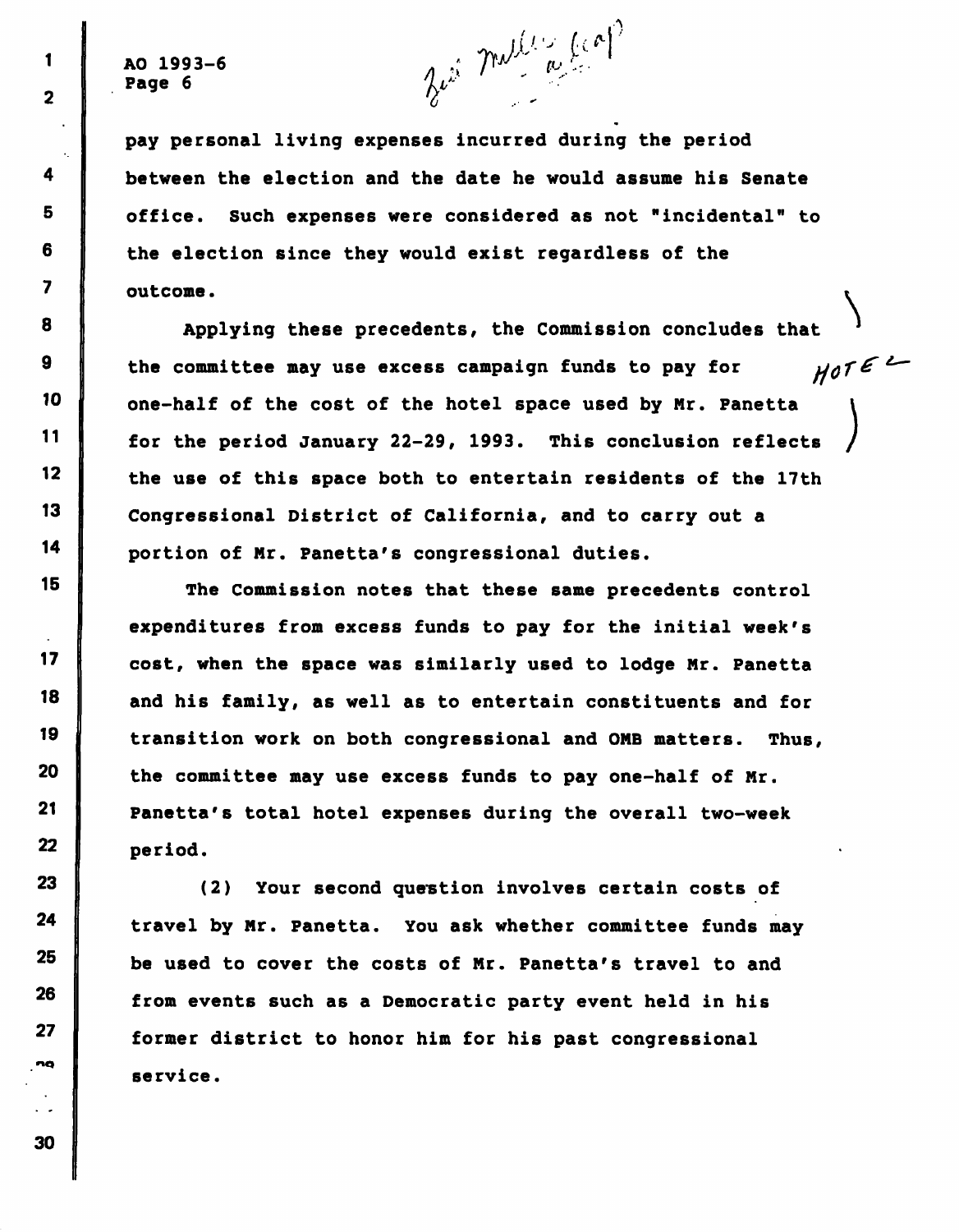AO 1993-6 A .; 7^ f'-' -" Page 6 7r  $\lambda \nu$  7r  $\lambda$  7r  $\lambda$  7r  $\lambda$  7r  $\lambda$  7r  $\lambda$  7r  $\lambda$  7r  $\lambda$  7r  $\lambda$  7r  $\lambda$  7r  $\lambda$  7r  $\lambda$  7r  $\lambda$  7r  $\lambda$  7r  $\lambda$  7r  $\lambda$  7r  $\lambda$  7r  $\lambda$  7r  $\lambda$  7r  $\lambda$  7r  $\lambda$  7r  $\lambda$  7r  $\lambda$  7r  $\lambda$  7r  $\lambda$  7r  $\lambda$  7r

 $\blacksquare$ 

 $\overline{2}$ 

4

8

9

13

15

19

 $21$ 

pay personal living expenses incurred during the period between the election and the date he would assume his Senate <sup>5</sup> office. Such expenses were considered as not "incidental" to  $6$  the election since they would exist regardless of the 7 outcome.

Applying these precedents, the Commission concludes that  $HOTE$ the committee may use excess campaign funds to pay for  $10$   $\parallel$  one-half of the cost of the hotel space used by Mr. Panetta  $\mathbf{I}$ / 11 for the period January 22-29, 1993. This conclusion reflects  $12$  the use of this space both to entertain residents of the 17th Congressional District of California, and to carry out a 14 portion of Mr. Panetta's congressional duties.

The Commission notes that these same precedents control expenditures from excess funds to pay for the initial week's 17 cost, when the space was similarly used to lodge Mr. Panetta  $18$  and his family, as well as to entertain constituents and for transition work on both congressional and ONE matters. Thus,  $20$  the committee may use excess funds to pay one-half of Mr. Panetta's total hotel expenses during the overall two-week 22 period.

23 (2) Your second question involves certain costs of  $24$  travel by Mr. Panetta. You ask whether committee funds may  $25$  be used to cover the costs of Mr. Panetta's travel to and  $26$  from events such as a Democratic party event held in his former district to honor him for his past congressional service.

27

nq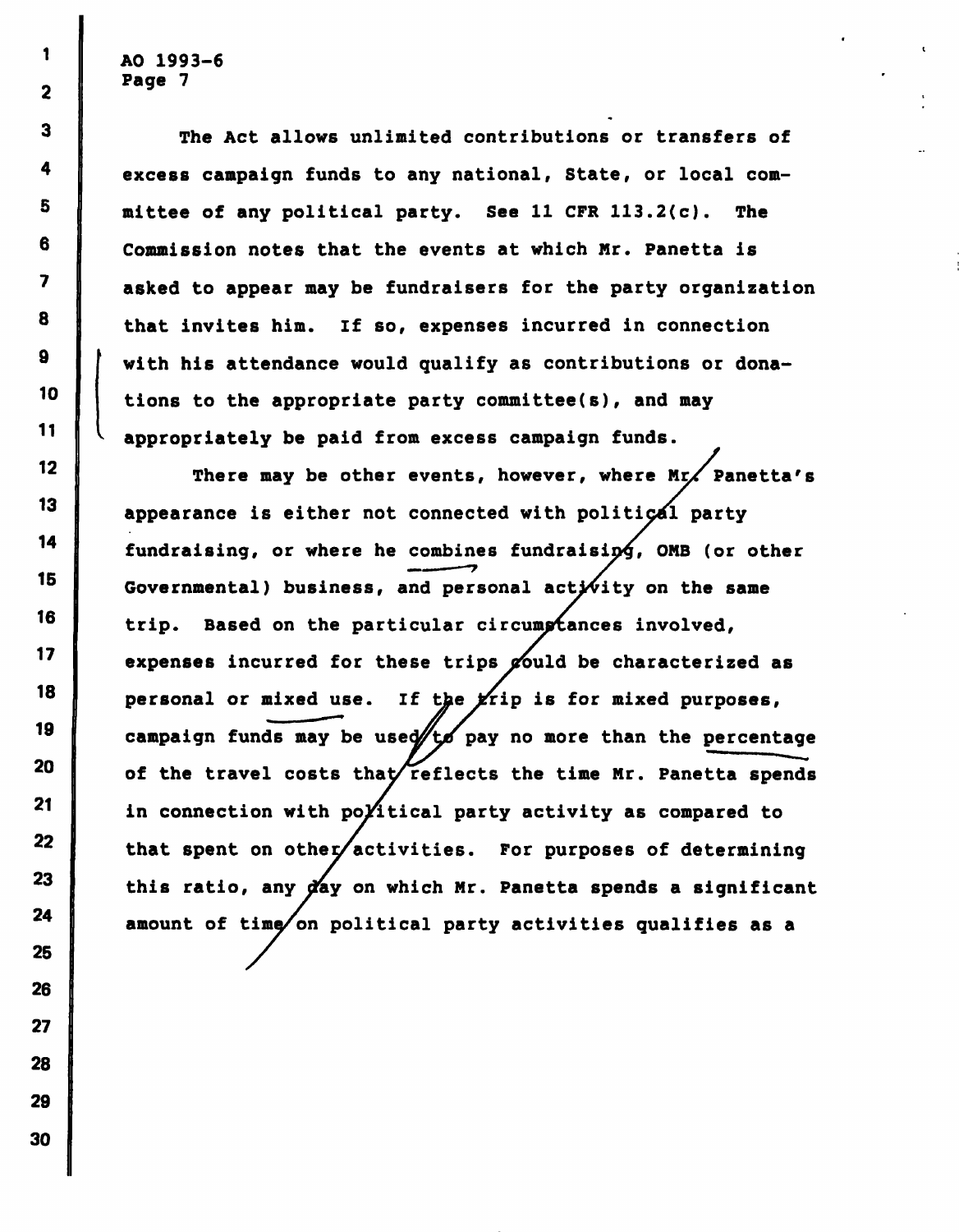$1 \parallel$  AO 1993-6  $\begin{array}{c|c} \text{ } & \text{Page} & \text{?} \end{array}$ 

The Act allows unlimited contributions or transfers of excess campaign funds to any national, State, or local committee of any political party. See 11 CFR 113.2(c). The Commission notes that the events at which Mr. Panetta is asked to appear may be fundraisers for the party organization that invites him. If so, expenses incurred in connection  $9$   $\parallel$  with his attendance would qualify as contributions or dona-10 tions to the appropriate party committee(s), and may appropriately be paid from excess campaign funds.

12 There may be other events, however, where Mr. Panetta's appearance is either not connected with political party fundraising, or where he combines fundraisip^, OMB (or other Governmental) business, and personal activity on the same 16 trip. Based on the particular circump tances involved, 17 expenses incurred for these trips  $\cancel{z}$  ould be characterized as 18 personal or mixed use. If the  $x$ rip is for mixed purposes, 19 campaign funds may be used/to pay no more than the percentage 20 of the travel costs that/reflects the time Mr. Panetta spends 21 in connection with po $\chi$ itical party activity as compared to 22 that spent on other/activities. For purposes of determining 23 this ratio, any  $\gamma$ ay on which Mr. Panetta spends a significant amount of time/on political party activities qualifies as a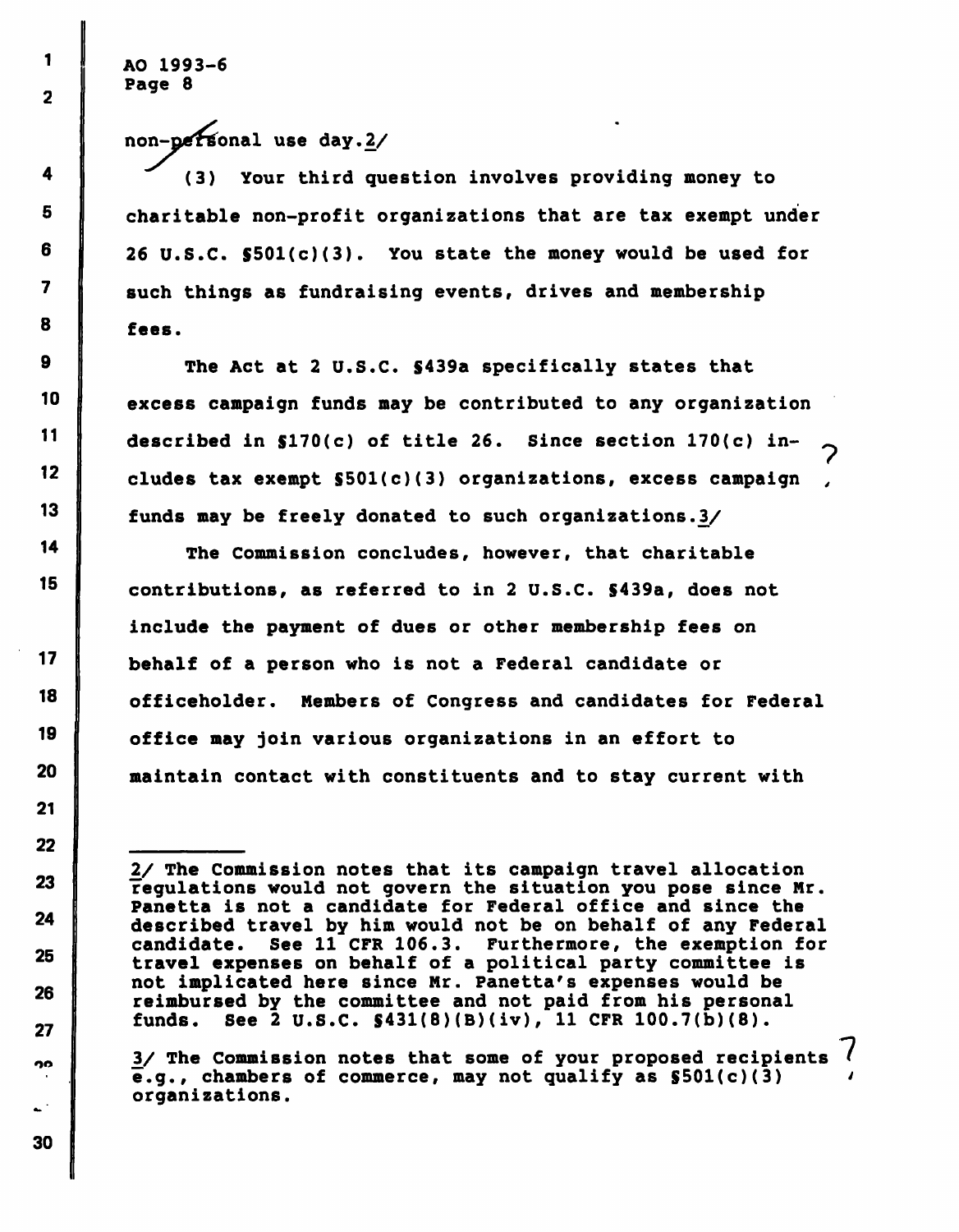! AO 1993-6 Page 8

non-personal use day.2/

(3) Your third question involves providing money to charitable non-profit organizations that are tax exempt under  $6$  | 26 U.S.C.  $$501(c)(3)$ . You state the money would be used for 7 such things as fundraising events, drives and membership fees.

 $9$  The Act at 2 U.S.C.  $$439a$  specifically states that <sup>10</sup> excess campaign funds may be contributed to any organization 11 described in  $$170(c)$  of title 26. Since section  $170(c)$  includes tax exempt  $$501(c)(3)$  organizations, excess campaign funds may be freely donated to such organizations.3/

14 The Commission concludes, however, that charitable 15 contributions, as referred to in 2 U.S.C. \$439a, does not include the payment of dues or other membership fees on <sup>17</sup> behalf of a person who is not a Federal candidate or officeholder. Members of Congress and candidates for Federal office may join various organizations in an effort to 20 **maintain contact with constituents and to stay current with** 

 $n_0$  | 3/ The Commission notes that some of your proposed recipients  $\ell$  $\overline{e}.g.$ , chambers of commerce, may not qualify as  $$501(c)(3)$ organizations.

I

 $\overline{2}$ 

<sup>2/</sup> The Commission notes that its campaign travel allocation regulations would not govern the situation you pose since Mr. Panetta is not a candidate for Federal office and since the 24 described travel by him would not be on behalf of any Federal candidate. See 11 CFR 106.3. Furthermore, the exemption for <sup>25</sup> travel expenses on behalf of a political party committee is not implicated here since Mr. Panetta's expenses would be 6 reimbursed by the committee and not paid from his personal 27 funds. See 2 U.S.C.  $S431(8)(B)(iv)$ , 11 CFR 100.7(b)(8).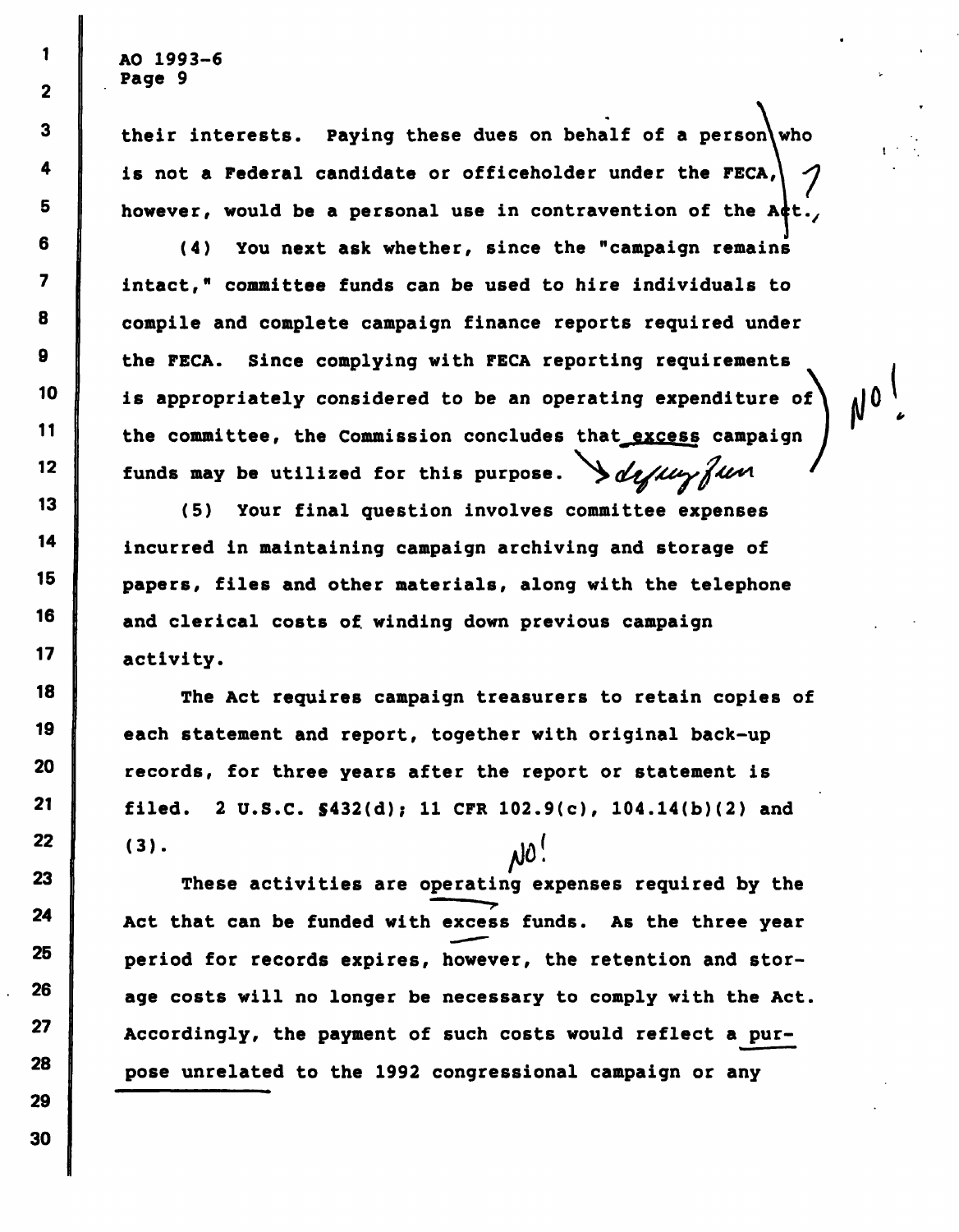$1 \parallel$  AO 1993-6  $2$  Page 9

 $3$  their interests. Paying these dues on behalf of a person 4  $\parallel$  is not a Federal candidate or officeholder under the FECA,  $\vert \hspace{.08cm} \gamma \hspace{.08cm} \vert$  $5$  however, would be a personal use in contravention of the Act.

(4) You next ask whether, since the "campaign remains intact," committee funds can be used to hire individuals to compile and complete campaign finance reports required under the FECA. Since complying with FECA reporting requirements  $10$  is appropriately considered to be an operating expenditure of  $11$  the committee, the Commission concludes that excess campaign funds may be utilized for this purpose.  $\partial \mathcal{L}$ 

(5) Your final question involves committee expenses incurred in maintaining campaign archiving and storage of papers, files and other materials, along with the telephone and clerical costs of winding down previous campaign <sup>17</sup> activity.

The Act requires campaign treasurers to retain copies of each statement and report, together with original back-up  $20$   $\parallel$  records, for three years after the report or statement is 21 filed. 2 U.S.C.  $$432(d); 11$  CFR  $102.9(c), 104.14(b)(2)$  and  $(3)$ . ּ' טו

23 These activities are operating expenses required by the Act that can be funded with excess funds. As the three year period for records expires, however, the retention and stor- $26$   $\parallel$  age costs will no longer be necessary to comply with the Act. Accordingly, the payment of such costs would reflect a purpose unrelated to the 1992 congressional campaign or any